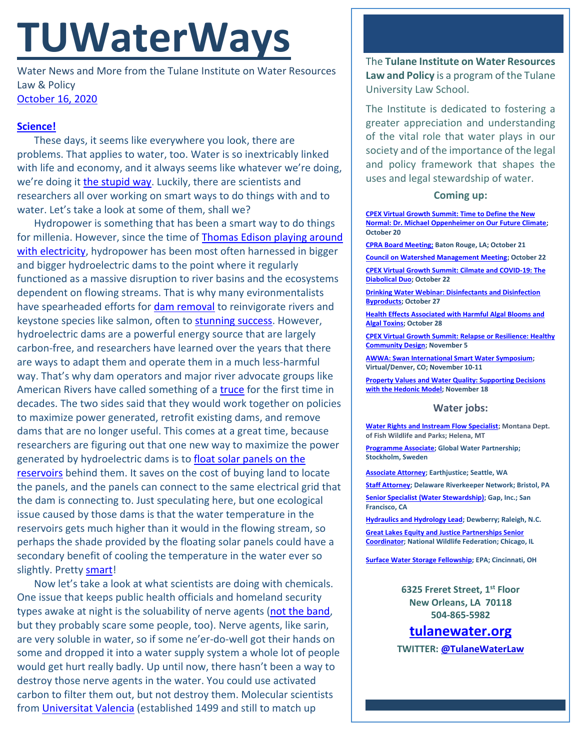## **TUWaterWays**

Water News and More from the Tulane Institute on Water Resources Law & Policy [October 16, 2020](https://thisdayinwaterhistory.wordpress.com/)

## **[Science!](https://youtu.be/V83JR2IoI8k?t=58)**

These days, it seems like everywhere you look, there are problems. That applies to water, too. Water is so inextricably linked with life and economy, and it always seems like whatever we're doing, we're doing it [the stupid way.](https://frinkiac.com/meme/S08E07/462177.jpg?b64lines=SEVZLCBZT1UnUkUgRE9JTkcgVEhBVCAKVEhFIFNUVVBJRCBXQVkuIA==) Luckily, there are scientists and researchers all over working on smart ways to do things with and to water. Let's take a look at some of them, shall we?

Hydropower is something that has been a smart way to do things for millenia. However, since the time of [Thomas Edison playing around](https://www.youtube.com/watch?v=ypqSHg1YvZA)  [with electricity,](https://www.youtube.com/watch?v=ypqSHg1YvZA) hydropower has been most often harnessed in bigger and bigger hydroelectric dams to the point where it regularly functioned as a massive disruption to river basins and the ecosystems dependent on flowing streams. That is why many evironmentalists have spearheaded efforts for [dam removal](https://www.youtube.com/watch?v=2yM5m5-1-I0) to reinvigorate rivers and keystone species like salmon, often to [stunning success.](https://bangordailynews.com/2020/06/19/outdoors/penobscot-shad-returns-shatter-record/) However, hydroelectric dams are a powerful energy source that are largely carbon-free, and researchers have learned over the years that there are ways to adapt them and operate them in a much less-harmful way. That's why dam operators and major river advocate groups like American Rivers have called something of a *truce* for the first time in decades. The two sides said that they would work together on policies to maximize power generated, retrofit existing dams, and remove dams that are no longer useful. This comes at a great time, because researchers are figuring out that one new way to maximize the power generated by hydroelectric dams is to [float solar panels on the](https://www.anthropocenemagazine.org/2020/10/the-immense-potential-of-solar-panels-floating-on-dams/)  [reservoirs](https://www.anthropocenemagazine.org/2020/10/the-immense-potential-of-solar-panels-floating-on-dams/) behind them. It saves on the cost of buying land to locate the panels, and the panels can connect to the same electrical grid that the dam is connecting to. Just speculating here, but one ecological issue caused by those dams is that the water temperature in the reservoirs gets much higher than it would in the flowing stream, so perhaps the shade provided by the floating solar panels could have a secondary benefit of cooling the temperature in the water ever so slightly. Pretty [smart!](https://frinkiac.com/video/S05E03/S-cNZEXRcJlGzCJh8tp1VWSlp0k=.gif)

Now let's take a look at what scientists are doing with chemicals. One issue that keeps public health officials and homeland security types awake at night is the soluability of nerve agents [\(not the band,](https://www.youtube.com/watch?v=Dw1wmRioIRM) but they probably scare some people, too). Nerve agents, like sarin, are very soluble in water, so if some ne'er-do-well got their hands on some and dropped it into a water supply system a whole lot of people would get hurt really badly. Up until now, there hasn't been a way to destroy those nerve agents in the water. You could use activated carbon to filter them out, but not destroy them. Molecular scientists from [Universitat Valencia](https://en.wikipedia.org/wiki/University_of_Valencia) (established 1499 and still to match up

The **Tulane Institute on Water Resources Law and Policy** is a program of the Tulane University Law School.

The Institute is dedicated to fostering a greater appreciation and understanding of the vital role that water plays in our society and of the importance of the legal and policy framework that shapes the uses and legal stewardship of water.

## **Coming up:**

**[CPEX Virtual Growth Summit: Time to Define the New](https://virtual-smart-growth-summit-2020.heysummit.com/summit-at-a-glance/)  [Normal: Dr. Michael Oppenheimer on Our Future Climate;](https://virtual-smart-growth-summit-2020.heysummit.com/summit-at-a-glance/) October 20**

**[CPRA Board Meeting;](https://coastal.la.gov/calendar/) Baton Rouge, LA; October 21**

**[Council on Watershed Management Meeting;](https://www.watershed.la.gov/calendar/event/2736/) October 22**

**[CPEX Virtual Growth Summit: Cilmate and COVID-19: The](https://virtual-smart-growth-summit-2020.heysummit.com/summit-at-a-glance/)  [Diabolical Duo;](https://virtual-smart-growth-summit-2020.heysummit.com/summit-at-a-glance/) October 22**

**[Drinking Water Webinar: Disinfectants and Disinfection](https://www.epa.gov/water-research/small-systems-monthly-webinar-series)  [Byproducts;](https://www.epa.gov/water-research/small-systems-monthly-webinar-series) October 27**

**[Health Effects Associated with Harmful Algal Blooms and](https://www.epa.gov/water-research/water-research-webinar-series)  [Algal Toxins;](https://www.epa.gov/water-research/water-research-webinar-series) October 28**

**[CPEX Virtual Growth Summit: Relapse or Resilience: Healthy](https://virtual-smart-growth-summit-2020.heysummit.com/summit-at-a-glance/)  [Community Design;](https://virtual-smart-growth-summit-2020.heysummit.com/summit-at-a-glance/) November 5**

**[AWWA: Swan International Smart Water Symposium;](https://www.awwa.org/Events-Education/Events-Calendar/ctl/ViewEvent/mid/6794/OccuranceId/268)  Virtual/Denver, CO; November 10-11**

**[Property Values and Water Quality: Supporting Decisions](https://www.epa.gov/water-research/water-research-webinar-series)  [with the Hedonic Model;](https://www.epa.gov/water-research/water-research-webinar-series) November 18**

## **Water jobs:**

**[Water Rights and Instream Flow Specialist;](https://mtstatejobs.taleo.net/careersection/200/jobdetail.ftl?job=20142331&tz=GMT-05%3A00&tzname=America/Chicago) Montana Dept. of Fish Wildlife and Parks; Helena, MT**

**[Programme Associate;](https://gwp.bamboohr.com/jobs/view.php?id=36&source=bamboohr) Global Water Partnership; Stockholm, Sweden**

**[Associate Attorney;](https://jobs.jobvite.com/earthjustice/job/o2Modfw9?nl=1) Earthjustice; Seattle, WA**

**[Staff Attorney;](https://www.idealist.org/en/nonprofit-job/4420bcb7bf0c450f91cac3e6049b80ab-staff-attorney-delaware-riverkeeper-network-bristol) Delaware Riverkeeper Network; Bristol, PA**

**[Senior Specialist \(Water Stewardship\);](https://www.gapinc.com/en-us/jobs/33/88/senior-specialist-water-stewardship) Gap, Inc.; San Francisco, CA** 

**[Hydraulics and Hydrology Lead;](https://www.joshswaterjobs.com/jobs/25878) Dewberry; Raleigh, N.C.**

**[Great Lakes Equity and Justice Partnerships Senior](https://recruiting.ultipro.com/NAT1047NWF/JobBoard/1ca8346a-33cc-401d-90d9-d7f752fdfd7d/OpportunityDetail?opportunityId=25e09a96-28f6-4243-8fa8-39241086eb17)  [Coordinator;](https://recruiting.ultipro.com/NAT1047NWF/JobBoard/1ca8346a-33cc-401d-90d9-d7f752fdfd7d/OpportunityDetail?opportunityId=25e09a96-28f6-4243-8fa8-39241086eb17) National Wildlife Federation; Chicago, IL**

**[Surface Water Storage Fellowship;](https://www.zintellect.com/Opportunity/Details/EPA-ORD-CEMM-WECD-2020-02) EPA; Cincinnati, OH**

**6325 Freret Street, 1st Floor New Orleans, LA 70118 504-865-5982**

**[tulanewater.org](file:///C:/Users/waterlaw/Downloads/tulanewater.org)**

**TWITTER[: @TulaneWaterLaw](http://www.twitter.com/TulaneWaterLaw)**